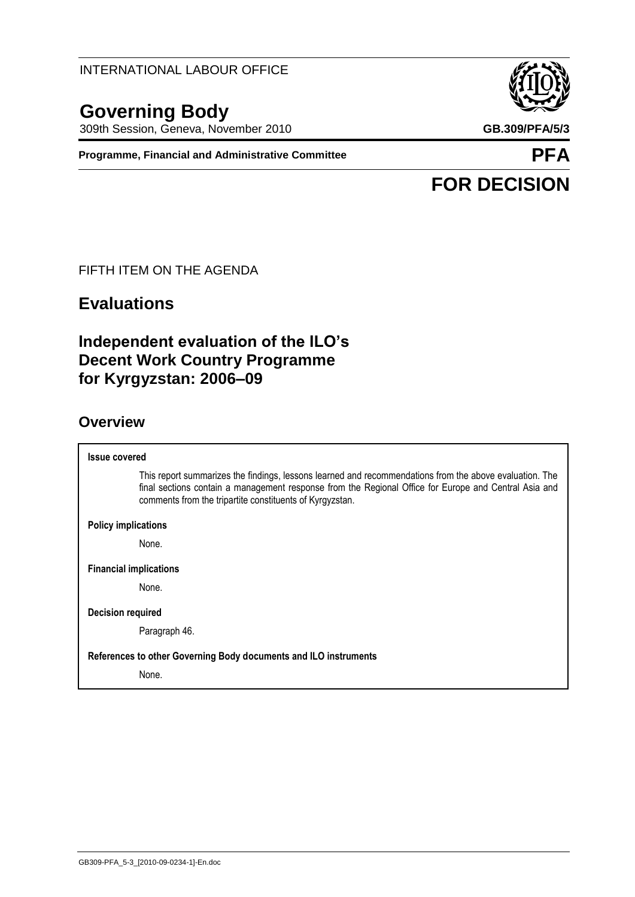INTERNATIONAL LABOUR OFFICE

# **Governing Body**

309th Session, Geneva, November 2010 **GB.309/PFA/5/3**

**Programme, Financial and Administrative Committee <b>PFA** 



# **FOR DECISION**

#### FIFTH ITEM ON THE AGENDA

# **Evaluations**

# **Independent evaluation of the ILO's Decent Work Country Programme for Kyrgyzstan: 2006–09**

# **Overview**

| <b>Issue covered</b>                                                                                                                                                                                                                                                         |
|------------------------------------------------------------------------------------------------------------------------------------------------------------------------------------------------------------------------------------------------------------------------------|
| This report summarizes the findings, lessons learned and recommendations from the above evaluation. The<br>final sections contain a management response from the Regional Office for Europe and Central Asia and<br>comments from the tripartite constituents of Kyrgyzstan. |
| <b>Policy implications</b>                                                                                                                                                                                                                                                   |
| None.                                                                                                                                                                                                                                                                        |
| <b>Financial implications</b>                                                                                                                                                                                                                                                |
| None.                                                                                                                                                                                                                                                                        |
| Decision required                                                                                                                                                                                                                                                            |
| Paragraph 46.                                                                                                                                                                                                                                                                |
| References to other Governing Body documents and ILO instruments                                                                                                                                                                                                             |
| None.                                                                                                                                                                                                                                                                        |
|                                                                                                                                                                                                                                                                              |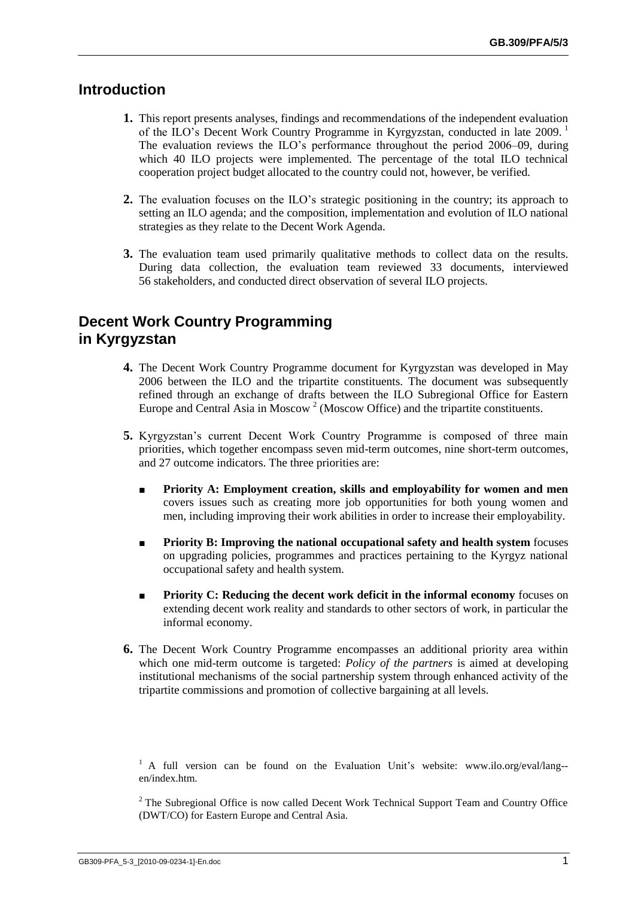# **Introduction**

- **1.** This report presents analyses, findings and recommendations of the independent evaluation of the ILO's Decent Work Country Programme in Kyrgyzstan, conducted in late 2009.<sup>1</sup> The evaluation reviews the ILO"s performance throughout the period 2006–09, during which 40 ILO projects were implemented. The percentage of the total ILO technical cooperation project budget allocated to the country could not, however, be verified.
- **2.** The evaluation focuses on the ILO's strategic positioning in the country; its approach to setting an ILO agenda; and the composition, implementation and evolution of ILO national strategies as they relate to the Decent Work Agenda.
- **3.** The evaluation team used primarily qualitative methods to collect data on the results. During data collection, the evaluation team reviewed 33 documents, interviewed 56 stakeholders, and conducted direct observation of several ILO projects.

# **Decent Work Country Programming in Kyrgyzstan**

- **4.** The Decent Work Country Programme document for Kyrgyzstan was developed in May 2006 between the ILO and the tripartite constituents. The document was subsequently refined through an exchange of drafts between the ILO Subregional Office for Eastern Europe and Central Asia in Moscow<sup>2</sup> (Moscow Office) and the tripartite constituents.
- **5.** Kyrgyzstan's current Decent Work Country Programme is composed of three main priorities, which together encompass seven mid-term outcomes, nine short-term outcomes, and 27 outcome indicators. The three priorities are:
	- **Priority A: Employment creation, skills and employability for women and men**  covers issues such as creating more job opportunities for both young women and men, including improving their work abilities in order to increase their employability.
	- **Priority B: Improving the national occupational safety and health system** focuses on upgrading policies, programmes and practices pertaining to the Kyrgyz national occupational safety and health system.
	- **Priority C: Reducing the decent work deficit in the informal economy** focuses on extending decent work reality and standards to other sectors of work, in particular the informal economy.
- **6.** The Decent Work Country Programme encompasses an additional priority area within which one mid-term outcome is targeted: *Policy of the partners* is aimed at developing institutional mechanisms of the social partnership system through enhanced activity of the tripartite commissions and promotion of collective bargaining at all levels.

 $1$  A full version can be found on the Evaluation Unit's website: www.ilo.org/eval/lang-en/index.htm.

<sup>2</sup> The Subregional Office is now called Decent Work Technical Support Team and Country Office (DWT/CO) for Eastern Europe and Central Asia.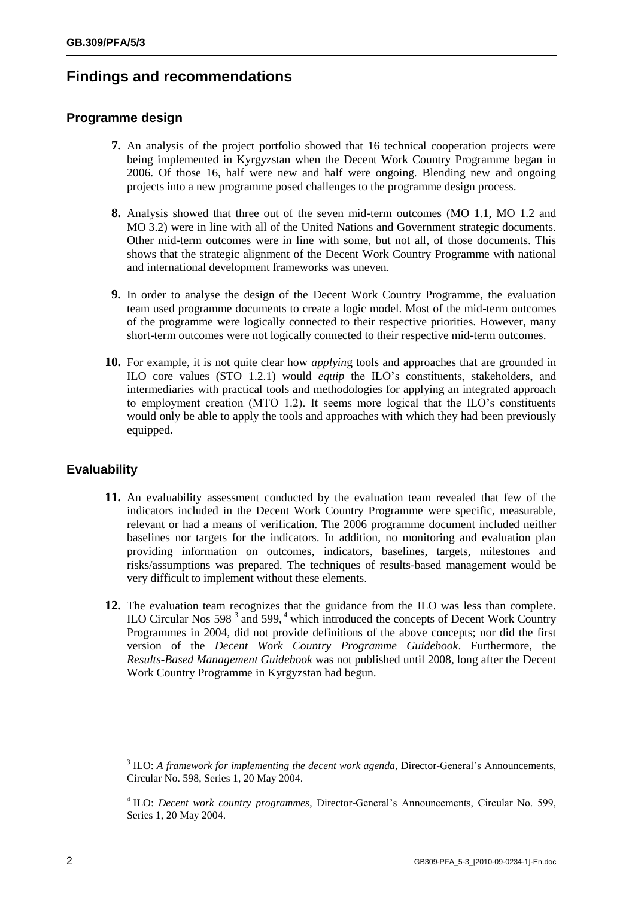# **Findings and recommendations**

#### **Programme design**

- **7.** An analysis of the project portfolio showed that 16 technical cooperation projects were being implemented in Kyrgyzstan when the Decent Work Country Programme began in 2006. Of those 16, half were new and half were ongoing. Blending new and ongoing projects into a new programme posed challenges to the programme design process.
- **8.** Analysis showed that three out of the seven mid-term outcomes (MO 1.1, MO 1.2 and MO 3.2) were in line with all of the United Nations and Government strategic documents. Other mid-term outcomes were in line with some, but not all, of those documents. This shows that the strategic alignment of the Decent Work Country Programme with national and international development frameworks was uneven.
- **9.** In order to analyse the design of the Decent Work Country Programme, the evaluation team used programme documents to create a logic model. Most of the mid-term outcomes of the programme were logically connected to their respective priorities. However, many short-term outcomes were not logically connected to their respective mid-term outcomes.
- **10.** For example, it is not quite clear how *applyin*g tools and approaches that are grounded in ILO core values (STO 1.2.1) would *equip* the ILO"s constituents, stakeholders, and intermediaries with practical tools and methodologies for applying an integrated approach to employment creation (MTO 1.2). It seems more logical that the ILO"s constituents would only be able to apply the tools and approaches with which they had been previously equipped.

## **Evaluability**

- **11.** An evaluability assessment conducted by the evaluation team revealed that few of the indicators included in the Decent Work Country Programme were specific, measurable, relevant or had a means of verification. The 2006 programme document included neither baselines nor targets for the indicators. In addition, no monitoring and evaluation plan providing information on outcomes, indicators, baselines, targets, milestones and risks/assumptions was prepared. The techniques of results-based management would be very difficult to implement without these elements.
- **12.** The evaluation team recognizes that the guidance from the ILO was less than complete. ILO Circular Nos  $598^3$  and  $599<sup>4</sup>$  which introduced the concepts of Decent Work Country Programmes in 2004, did not provide definitions of the above concepts; nor did the first version of the *Decent Work Country Programme Guidebook*. Furthermore, the *Results-Based Management Guidebook* was not published until 2008, long after the Decent Work Country Programme in Kyrgyzstan had begun.

<sup>&</sup>lt;sup>3</sup> ILO: *A framework for implementing the decent work agenda*, Director-General's Announcements, Circular No. 598, Series 1, 20 May 2004.

<sup>&</sup>lt;sup>4</sup> ILO: *Decent work country programmes*, Director-General's Announcements, Circular No. 599, Series 1, 20 May 2004.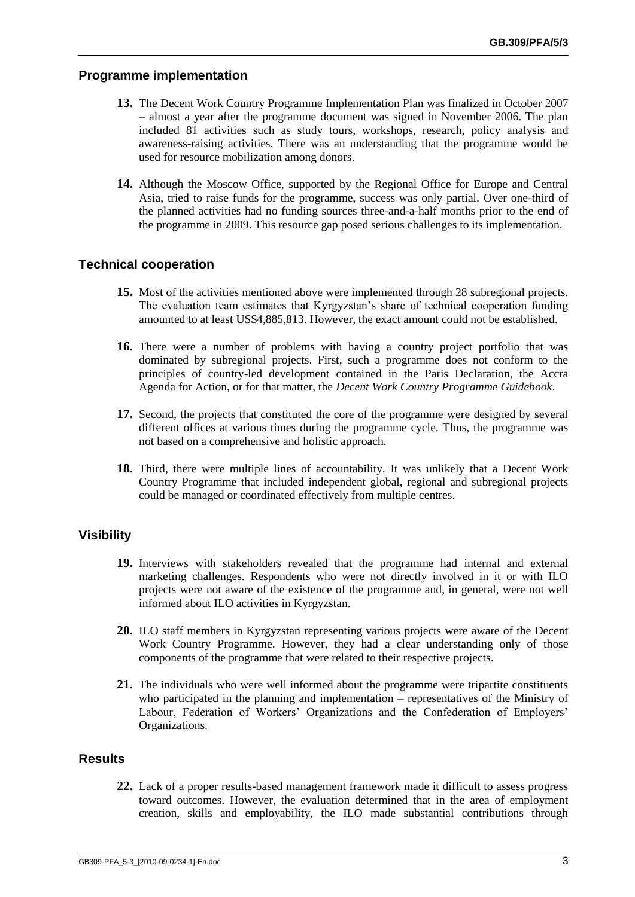#### **Programme implementation**

- **13.** The Decent Work Country Programme Implementation Plan was finalized in October 2007 – almost a year after the programme document was signed in November 2006. The plan included 81 activities such as study tours, workshops, research, policy analysis and awareness-raising activities. There was an understanding that the programme would be used for resource mobilization among donors.
- **14.** Although the Moscow Office, supported by the Regional Office for Europe and Central Asia, tried to raise funds for the programme, success was only partial. Over one-third of the planned activities had no funding sources three-and-a-half months prior to the end of the programme in 2009. This resource gap posed serious challenges to its implementation.

#### **Technical cooperation**

- **15.** Most of the activities mentioned above were implemented through 28 subregional projects. The evaluation team estimates that Kyrgyzstan's share of technical cooperation funding amounted to at least US\$4,885,813. However, the exact amount could not be established.
- **16.** There were a number of problems with having a country project portfolio that was dominated by subregional projects. First, such a programme does not conform to the principles of country-led development contained in the Paris Declaration, the Accra Agenda for Action, or for that matter, the *Decent Work Country Programme Guidebook*.
- **17.** Second, the projects that constituted the core of the programme were designed by several different offices at various times during the programme cycle. Thus, the programme was not based on a comprehensive and holistic approach.
- **18.** Third, there were multiple lines of accountability. It was unlikely that a Decent Work Country Programme that included independent global, regional and subregional projects could be managed or coordinated effectively from multiple centres.

#### **Visibility**

- **19.** Interviews with stakeholders revealed that the programme had internal and external marketing challenges. Respondents who were not directly involved in it or with ILO projects were not aware of the existence of the programme and, in general, were not well informed about ILO activities in Kyrgyzstan.
- **20.** ILO staff members in Kyrgyzstan representing various projects were aware of the Decent Work Country Programme. However, they had a clear understanding only of those components of the programme that were related to their respective projects.
- **21.** The individuals who were well informed about the programme were tripartite constituents who participated in the planning and implementation – representatives of the Ministry of Labour, Federation of Workers' Organizations and the Confederation of Employers' Organizations.

#### **Results**

**22.** Lack of a proper results-based management framework made it difficult to assess progress toward outcomes. However, the evaluation determined that in the area of employment creation, skills and employability, the ILO made substantial contributions through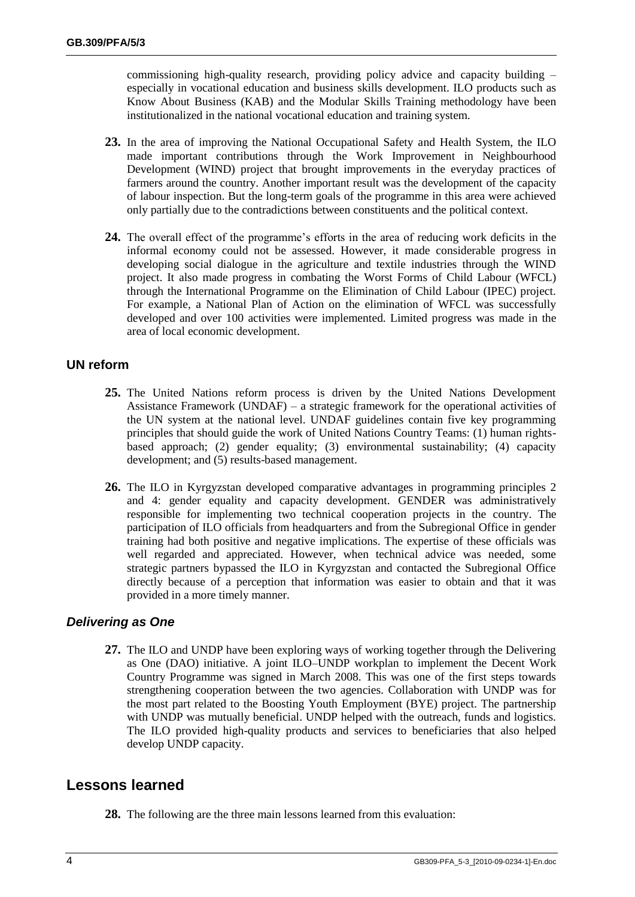commissioning high-quality research, providing policy advice and capacity building – especially in vocational education and business skills development. ILO products such as Know About Business (KAB) and the Modular Skills Training methodology have been institutionalized in the national vocational education and training system.

- **23.** In the area of improving the National Occupational Safety and Health System, the ILO made important contributions through the Work Improvement in Neighbourhood Development (WIND) project that brought improvements in the everyday practices of farmers around the country. Another important result was the development of the capacity of labour inspection. But the long-term goals of the programme in this area were achieved only partially due to the contradictions between constituents and the political context.
- **24.** The overall effect of the programme's efforts in the area of reducing work deficits in the informal economy could not be assessed. However, it made considerable progress in developing social dialogue in the agriculture and textile industries through the WIND project. It also made progress in combating the Worst Forms of Child Labour (WFCL) through the International Programme on the Elimination of Child Labour (IPEC) project. For example, a National Plan of Action on the elimination of WFCL was successfully developed and over 100 activities were implemented. Limited progress was made in the area of local economic development.

#### **UN reform**

- **25.** The United Nations reform process is driven by the United Nations Development Assistance Framework (UNDAF) – a strategic framework for the operational activities of the UN system at the national level. UNDAF guidelines contain five key programming principles that should guide the work of United Nations Country Teams: (1) human rightsbased approach; (2) gender equality; (3) environmental sustainability; (4) capacity development; and (5) results-based management.
- **26.** The ILO in Kyrgyzstan developed comparative advantages in programming principles 2 and 4: gender equality and capacity development. GENDER was administratively responsible for implementing two technical cooperation projects in the country. The participation of ILO officials from headquarters and from the Subregional Office in gender training had both positive and negative implications. The expertise of these officials was well regarded and appreciated. However, when technical advice was needed, some strategic partners bypassed the ILO in Kyrgyzstan and contacted the Subregional Office directly because of a perception that information was easier to obtain and that it was provided in a more timely manner.

#### *Delivering as One*

**27.** The ILO and UNDP have been exploring ways of working together through the Delivering as One (DAO) initiative. A joint ILO–UNDP workplan to implement the Decent Work Country Programme was signed in March 2008. This was one of the first steps towards strengthening cooperation between the two agencies. Collaboration with UNDP was for the most part related to the Boosting Youth Employment (BYE) project. The partnership with UNDP was mutually beneficial. UNDP helped with the outreach, funds and logistics. The ILO provided high-quality products and services to beneficiaries that also helped develop UNDP capacity.

## **Lessons learned**

**28.** The following are the three main lessons learned from this evaluation: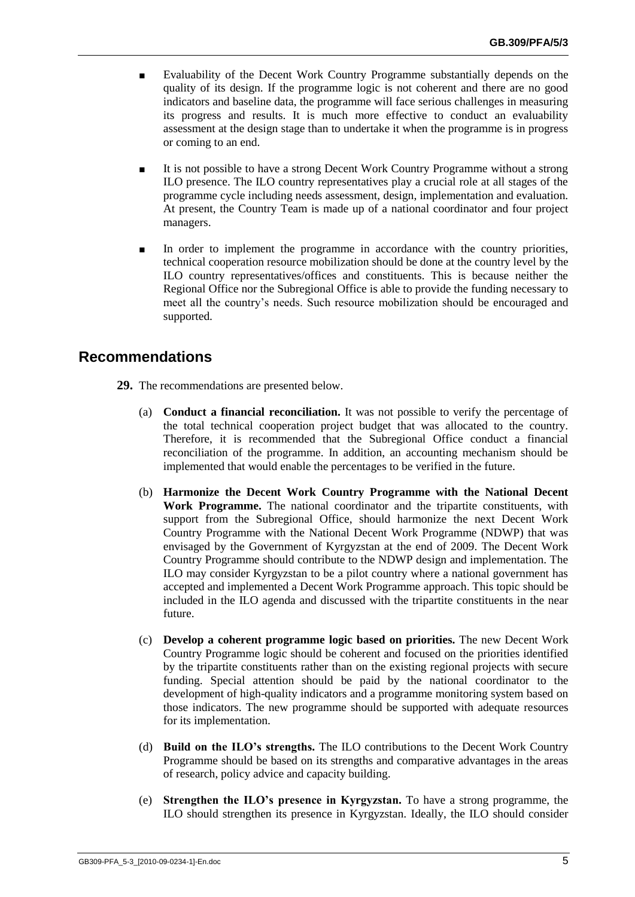- Evaluability of the Decent Work Country Programme substantially depends on the quality of its design. If the programme logic is not coherent and there are no good indicators and baseline data, the programme will face serious challenges in measuring its progress and results. It is much more effective to conduct an evaluability assessment at the design stage than to undertake it when the programme is in progress or coming to an end.
- It is not possible to have a strong Decent Work Country Programme without a strong ILO presence. The ILO country representatives play a crucial role at all stages of the programme cycle including needs assessment, design, implementation and evaluation. At present, the Country Team is made up of a national coordinator and four project managers.
- In order to implement the programme in accordance with the country priorities, technical cooperation resource mobilization should be done at the country level by the ILO country representatives/offices and constituents. This is because neither the Regional Office nor the Subregional Office is able to provide the funding necessary to meet all the country"s needs. Such resource mobilization should be encouraged and supported.

# **Recommendations**

- **29.** The recommendations are presented below.
	- (a) **Conduct a financial reconciliation.** It was not possible to verify the percentage of the total technical cooperation project budget that was allocated to the country. Therefore, it is recommended that the Subregional Office conduct a financial reconciliation of the programme. In addition, an accounting mechanism should be implemented that would enable the percentages to be verified in the future.
	- (b) **Harmonize the Decent Work Country Programme with the National Decent Work Programme.** The national coordinator and the tripartite constituents, with support from the Subregional Office, should harmonize the next Decent Work Country Programme with the National Decent Work Programme (NDWP) that was envisaged by the Government of Kyrgyzstan at the end of 2009. The Decent Work Country Programme should contribute to the NDWP design and implementation. The ILO may consider Kyrgyzstan to be a pilot country where a national government has accepted and implemented a Decent Work Programme approach. This topic should be included in the ILO agenda and discussed with the tripartite constituents in the near future.
	- (c) **Develop a coherent programme logic based on priorities.** The new Decent Work Country Programme logic should be coherent and focused on the priorities identified by the tripartite constituents rather than on the existing regional projects with secure funding. Special attention should be paid by the national coordinator to the development of high-quality indicators and a programme monitoring system based on those indicators. The new programme should be supported with adequate resources for its implementation.
	- (d) **Build on the ILO's strengths.** The ILO contributions to the Decent Work Country Programme should be based on its strengths and comparative advantages in the areas of research, policy advice and capacity building.
	- (e) **Strengthen the ILO's presence in Kyrgyzstan.** To have a strong programme, the ILO should strengthen its presence in Kyrgyzstan. Ideally, the ILO should consider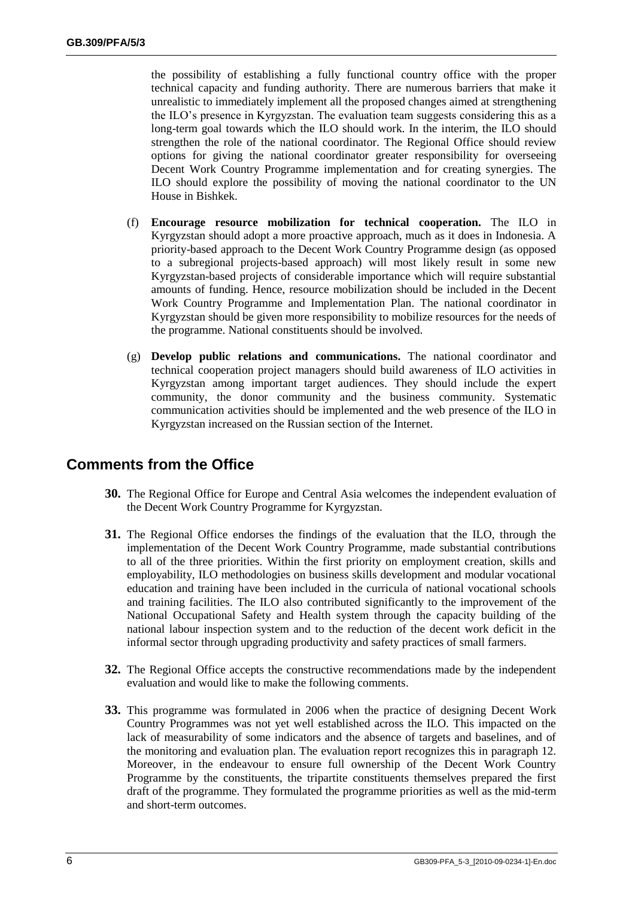the possibility of establishing a fully functional country office with the proper technical capacity and funding authority. There are numerous barriers that make it unrealistic to immediately implement all the proposed changes aimed at strengthening the ILO"s presence in Kyrgyzstan. The evaluation team suggests considering this as a long-term goal towards which the ILO should work. In the interim, the ILO should strengthen the role of the national coordinator. The Regional Office should review options for giving the national coordinator greater responsibility for overseeing Decent Work Country Programme implementation and for creating synergies. The ILO should explore the possibility of moving the national coordinator to the UN House in Bishkek.

- (f) **Encourage resource mobilization for technical cooperation.** The ILO in Kyrgyzstan should adopt a more proactive approach, much as it does in Indonesia. A priority-based approach to the Decent Work Country Programme design (as opposed to a subregional projects-based approach) will most likely result in some new Kyrgyzstan-based projects of considerable importance which will require substantial amounts of funding. Hence, resource mobilization should be included in the Decent Work Country Programme and Implementation Plan. The national coordinator in Kyrgyzstan should be given more responsibility to mobilize resources for the needs of the programme. National constituents should be involved.
- (g) **Develop public relations and communications.** The national coordinator and technical cooperation project managers should build awareness of ILO activities in Kyrgyzstan among important target audiences. They should include the expert community, the donor community and the business community. Systematic communication activities should be implemented and the web presence of the ILO in Kyrgyzstan increased on the Russian section of the Internet.

## **Comments from the Office**

- **30.** The Regional Office for Europe and Central Asia welcomes the independent evaluation of the Decent Work Country Programme for Kyrgyzstan.
- **31.** The Regional Office endorses the findings of the evaluation that the ILO, through the implementation of the Decent Work Country Programme, made substantial contributions to all of the three priorities. Within the first priority on employment creation, skills and employability, ILO methodologies on business skills development and modular vocational education and training have been included in the curricula of national vocational schools and training facilities. The ILO also contributed significantly to the improvement of the National Occupational Safety and Health system through the capacity building of the national labour inspection system and to the reduction of the decent work deficit in the informal sector through upgrading productivity and safety practices of small farmers.
- **32.** The Regional Office accepts the constructive recommendations made by the independent evaluation and would like to make the following comments.
- **33.** This programme was formulated in 2006 when the practice of designing Decent Work Country Programmes was not yet well established across the ILO. This impacted on the lack of measurability of some indicators and the absence of targets and baselines, and of the monitoring and evaluation plan. The evaluation report recognizes this in paragraph 12. Moreover, in the endeavour to ensure full ownership of the Decent Work Country Programme by the constituents, the tripartite constituents themselves prepared the first draft of the programme. They formulated the programme priorities as well as the mid-term and short-term outcomes.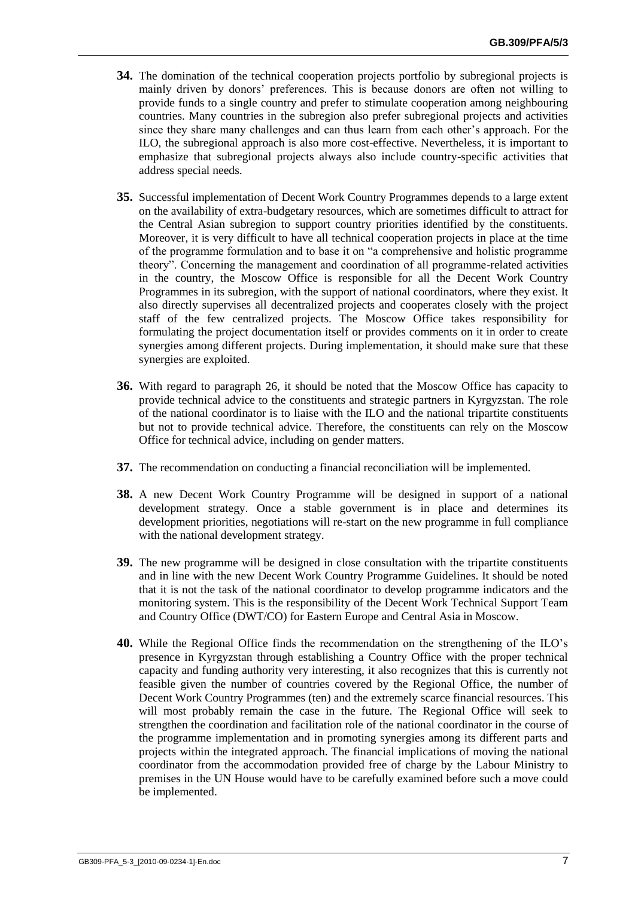- **34.** The domination of the technical cooperation projects portfolio by subregional projects is mainly driven by donors" preferences. This is because donors are often not willing to provide funds to a single country and prefer to stimulate cooperation among neighbouring countries. Many countries in the subregion also prefer subregional projects and activities since they share many challenges and can thus learn from each other"s approach. For the ILO, the subregional approach is also more cost-effective. Nevertheless, it is important to emphasize that subregional projects always also include country-specific activities that address special needs.
- **35.** Successful implementation of Decent Work Country Programmes depends to a large extent on the availability of extra-budgetary resources, which are sometimes difficult to attract for the Central Asian subregion to support country priorities identified by the constituents. Moreover, it is very difficult to have all technical cooperation projects in place at the time of the programme formulation and to base it on "a comprehensive and holistic programme theory". Concerning the management and coordination of all programme-related activities in the country, the Moscow Office is responsible for all the Decent Work Country Programmes in its subregion, with the support of national coordinators, where they exist. It also directly supervises all decentralized projects and cooperates closely with the project staff of the few centralized projects. The Moscow Office takes responsibility for formulating the project documentation itself or provides comments on it in order to create synergies among different projects. During implementation, it should make sure that these synergies are exploited.
- **36.** With regard to paragraph 26, it should be noted that the Moscow Office has capacity to provide technical advice to the constituents and strategic partners in Kyrgyzstan. The role of the national coordinator is to liaise with the ILO and the national tripartite constituents but not to provide technical advice. Therefore, the constituents can rely on the Moscow Office for technical advice, including on gender matters.
- **37.** The recommendation on conducting a financial reconciliation will be implemented.
- **38.** A new Decent Work Country Programme will be designed in support of a national development strategy. Once a stable government is in place and determines its development priorities, negotiations will re-start on the new programme in full compliance with the national development strategy.
- **39.** The new programme will be designed in close consultation with the tripartite constituents and in line with the new Decent Work Country Programme Guidelines. It should be noted that it is not the task of the national coordinator to develop programme indicators and the monitoring system. This is the responsibility of the Decent Work Technical Support Team and Country Office (DWT/CO) for Eastern Europe and Central Asia in Moscow.
- **40.** While the Regional Office finds the recommendation on the strengthening of the ILO"s presence in Kyrgyzstan through establishing a Country Office with the proper technical capacity and funding authority very interesting, it also recognizes that this is currently not feasible given the number of countries covered by the Regional Office, the number of Decent Work Country Programmes (ten) and the extremely scarce financial resources. This will most probably remain the case in the future. The Regional Office will seek to strengthen the coordination and facilitation role of the national coordinator in the course of the programme implementation and in promoting synergies among its different parts and projects within the integrated approach. The financial implications of moving the national coordinator from the accommodation provided free of charge by the Labour Ministry to premises in the UN House would have to be carefully examined before such a move could be implemented.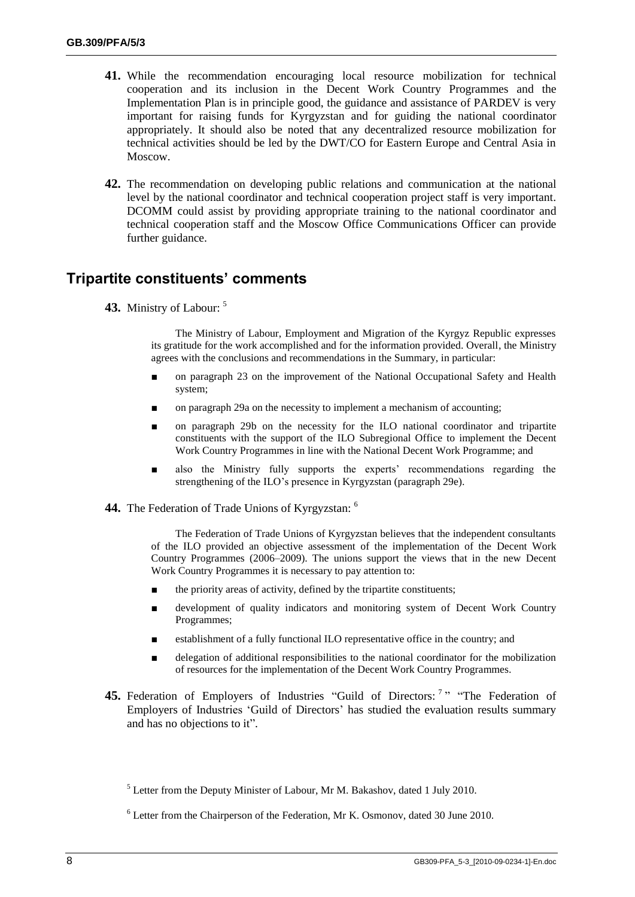- **41.** While the recommendation encouraging local resource mobilization for technical cooperation and its inclusion in the Decent Work Country Programmes and the Implementation Plan is in principle good, the guidance and assistance of PARDEV is very important for raising funds for Kyrgyzstan and for guiding the national coordinator appropriately. It should also be noted that any decentralized resource mobilization for technical activities should be led by the DWT/CO for Eastern Europe and Central Asia in Moscow.
- **42.** The recommendation on developing public relations and communication at the national level by the national coordinator and technical cooperation project staff is very important. DCOMM could assist by providing appropriate training to the national coordinator and technical cooperation staff and the Moscow Office Communications Officer can provide further guidance.

## **Tripartite constituents' comments**

**43.** Ministry of Labour: <sup>5</sup>

The Ministry of Labour, Employment and Migration of the Kyrgyz Republic expresses its gratitude for the work accomplished and for the information provided. Overall, the Ministry agrees with the conclusions and recommendations in the Summary, in particular:

- on paragraph 23 on the improvement of the National Occupational Safety and Health system;
- on paragraph 29a on the necessity to implement a mechanism of accounting;
- on paragraph 29b on the necessity for the ILO national coordinator and tripartite constituents with the support of the ILO Subregional Office to implement the Decent Work Country Programmes in line with the National Decent Work Programme; and
- also the Ministry fully supports the experts' recommendations regarding the strengthening of the ILO"s presence in Kyrgyzstan (paragraph 29e).
- **44.** The Federation of Trade Unions of Kyrgyzstan: <sup>6</sup>

The Federation of Trade Unions of Kyrgyzstan believes that the independent consultants of the ILO provided an objective assessment of the implementation of the Decent Work Country Programmes (2006–2009). The unions support the views that in the new Decent Work Country Programmes it is necessary to pay attention to:

- the priority areas of activity, defined by the tripartite constituents;
- development of quality indicators and monitoring system of Decent Work Country Programmes;
- establishment of a fully functional ILO representative office in the country; and
- delegation of additional responsibilities to the national coordinator for the mobilization of resources for the implementation of the Decent Work Country Programmes.
- 45. Federation of Employers of Industries "Guild of Directors:<sup>7</sup>" "The Federation of Employers of Industries "Guild of Directors" has studied the evaluation results summary and has no objections to it".

 $<sup>5</sup>$  Letter from the Deputy Minister of Labour, Mr M. Bakashov, dated 1 July 2010.</sup>

 $6$  Letter from the Chairperson of the Federation, Mr K. Osmonov, dated 30 June 2010.